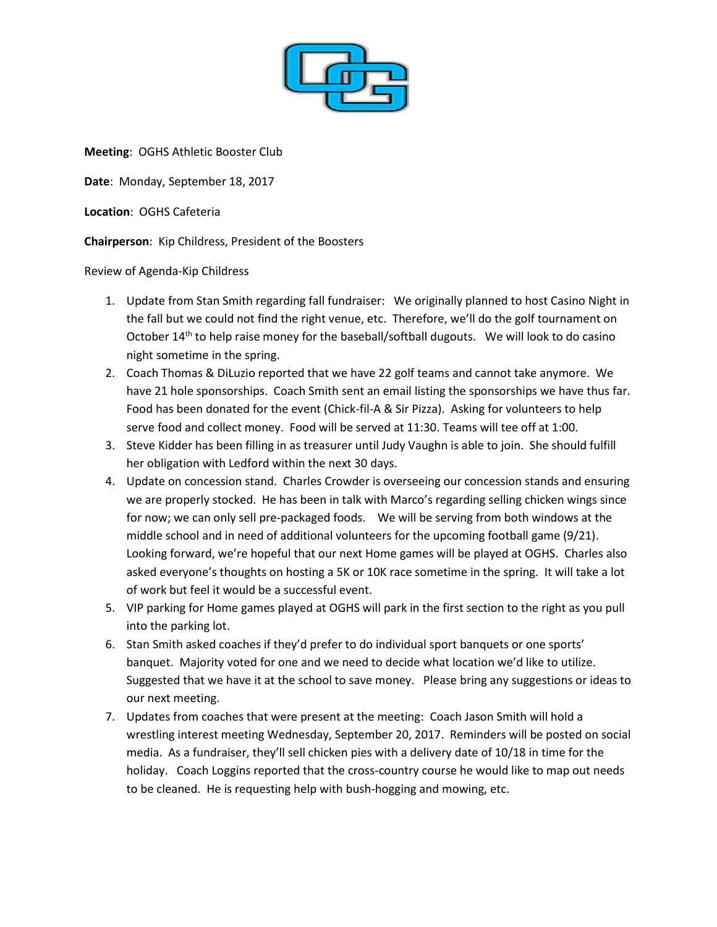

**Meeting**: OGHS Athletic Booster Club

**Date**: Monday, September 18, 2017

**Location**: OGHS Cafeteria

**Chairperson**: Kip Childress, President of the Boosters

Review of Agenda-Kip Childress

- 1. Update from Stan Smith regarding fall fundraiser: We originally planned to host Casino Night in the fall but we could not find the right venue, etc. Therefore, we'll do the golf tournament on October 14<sup>th</sup> to help raise money for the baseball/softball dugouts. We will look to do casino night sometime in the spring.
- 2. Coach Thomas & DiLuzio reported that we have 22 golf teams and cannot take anymore. We have 21 hole sponsorships. Coach Smith sent an email listing the sponsorships we have thus far. Food has been donated for the event (Chick-fil-A & Sir Pizza). Asking for volunteers to help serve food and collect money. Food will be served at 11:30. Teams will tee off at 1:00.
- 3. Steve Kidder has been filling in as treasurer until Judy Vaughn is able to join. She should fulfill her obligation with Ledford within the next 30 days.
- 4. Update on concession stand. Charles Crowder is overseeing our concession stands and ensuring we are properly stocked. He has been in talk with Marco's regarding selling chicken wings since for now; we can only sell pre-packaged foods. We will be serving from both windows at the middle school and in need of additional volunteers for the upcoming football game (9/21). Looking forward, we're hopeful that our next Home games will be played at OGHS. Charles also asked everyone's thoughts on hosting a 5K or 10K race sometime in the spring. It will take a lot of work but feel it would be a successful event.
- 5. VIP parking for Home games played at OGHS will park in the first section to the right as you pull into the parking lot.
- 6. Stan Smith asked coaches if they'd prefer to do individual sport banquets or one sports' banquet. Majority voted for one and we need to decide what location we'd like to utilize. Suggested that we have it at the school to save money. Please bring any suggestions or ideas to our next meeting.
- 7. Updates from coaches that were present at the meeting: Coach Jason Smith will hold a wrestling interest meeting Wednesday, September 20, 2017. Reminders will be posted on social media. As a fundraiser, they'll sell chicken pies with a delivery date of 10/18 in time for the holiday. Coach Loggins reported that the cross-country course he would like to map out needs to be cleaned. He is requesting help with bush-hogging and mowing, etc.